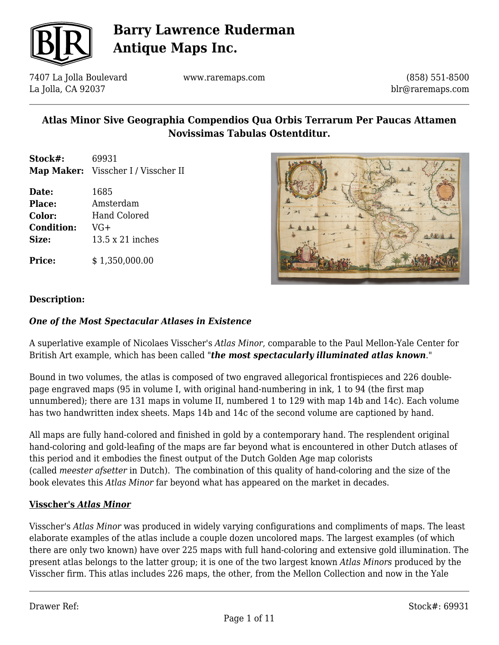

7407 La Jolla Boulevard La Jolla, CA 92037

www.raremaps.com

(858) 551-8500 blr@raremaps.com

## **Atlas Minor Sive Geographia Compendios Qua Orbis Terrarum Per Paucas Attamen Novissimas Tabulas Ostentditur.**

**Stock#:** 69931 **Map Maker:** Visscher I / Visscher II

**Date:** 1685 **Place:** Amsterdam **Color:** Hand Colored **Condition:** VG+ **Size:** 13.5 x 21 inches

**Price:**  $$ 1,350,000.00$ 



### **Description:**

### *One of the Most Spectacular Atlases in Existence*

A superlative example of Nicolaes Visscher's *Atlas Minor*, comparable to the Paul Mellon-Yale Center for British Art example, which has been called "*the most spectacularly illuminated atlas known*."

Bound in two volumes, the atlas is composed of two engraved allegorical frontispieces and 226 doublepage engraved maps (95 in volume I, with original hand-numbering in ink, 1 to 94 (the first map unnumbered); there are 131 maps in volume II, numbered 1 to 129 with map 14b and 14c). Each volume has two handwritten index sheets. Maps 14b and 14c of the second volume are captioned by hand.

All maps are fully hand-colored and finished in gold by a contemporary hand. The resplendent original hand-coloring and gold-leafing of the maps are far beyond what is encountered in other Dutch atlases of this period and it embodies the finest output of the Dutch Golden Age map colorists (called *meester afsetter* in Dutch). The combination of this quality of hand-coloring and the size of the book elevates this *Atlas Minor* far beyond what has appeared on the market in decades.

#### **Visscher's** *Atlas Minor*

Visscher's *Atlas Minor* was produced in widely varying configurations and compliments of maps. The least elaborate examples of the atlas include a couple dozen uncolored maps. The largest examples (of which there are only two known) have over 225 maps with full hand-coloring and extensive gold illumination. The present atlas belongs to the latter group; it is one of the two largest known *Atlas Minors* produced by the Visscher firm. This atlas includes 226 maps, the other, from the Mellon Collection and now in the Yale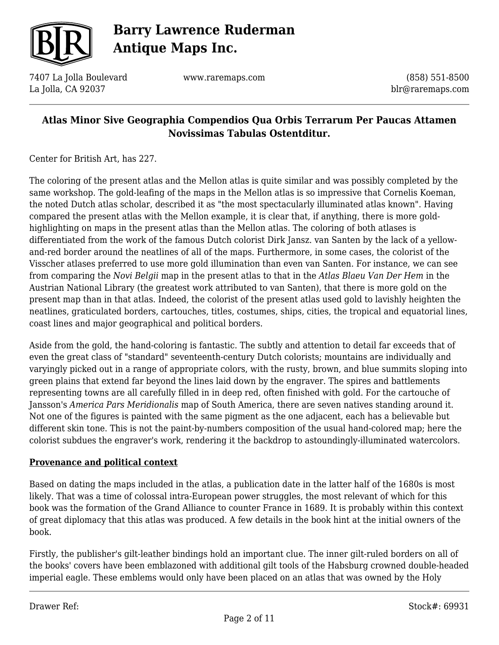

7407 La Jolla Boulevard La Jolla, CA 92037

www.raremaps.com

(858) 551-8500 blr@raremaps.com

### **Atlas Minor Sive Geographia Compendios Qua Orbis Terrarum Per Paucas Attamen Novissimas Tabulas Ostentditur.**

Center for British Art, has 227.

The coloring of the present atlas and the Mellon atlas is quite similar and was possibly completed by the same workshop. The gold-leafing of the maps in the Mellon atlas is so impressive that Cornelis Koeman, the noted Dutch atlas scholar, described it as "the most spectacularly illuminated atlas known". Having compared the present atlas with the Mellon example, it is clear that, if anything, there is more goldhighlighting on maps in the present atlas than the Mellon atlas. The coloring of both atlases is differentiated from the work of the famous Dutch colorist Dirk Jansz. van Santen by the lack of a yellowand-red border around the neatlines of all of the maps. Furthermore, in some cases, the colorist of the Visscher atlases preferred to use more gold illumination than even van Santen. For instance, we can see from comparing the *Novi Belgii* map in the present atlas to that in the *Atlas Blaeu Van Der Hem* in the Austrian National Library (the greatest work attributed to van Santen), that there is more gold on the present map than in that atlas. Indeed, the colorist of the present atlas used gold to lavishly heighten the neatlines, graticulated borders, cartouches, titles, costumes, ships, cities, the tropical and equatorial lines, coast lines and major geographical and political borders.

Aside from the gold, the hand-coloring is fantastic. The subtly and attention to detail far exceeds that of even the great class of "standard" seventeenth-century Dutch colorists; mountains are individually and varyingly picked out in a range of appropriate colors, with the rusty, brown, and blue summits sloping into green plains that extend far beyond the lines laid down by the engraver. The spires and battlements representing towns are all carefully filled in in deep red, often finished with gold. For the cartouche of Jansson's *America Pars Meridionalis* map of South America, there are seven natives standing around it. Not one of the figures is painted with the same pigment as the one adjacent, each has a believable but different skin tone. This is not the paint-by-numbers composition of the usual hand-colored map; here the colorist subdues the engraver's work, rendering it the backdrop to astoundingly-illuminated watercolors.

#### **Provenance and political context**

Based on dating the maps included in the atlas, a publication date in the latter half of the 1680s is most likely. That was a time of colossal intra-European power struggles, the most relevant of which for this book was the formation of the Grand Alliance to counter France in 1689. It is probably within this context of great diplomacy that this atlas was produced. A few details in the book hint at the initial owners of the book.

Firstly, the publisher's gilt-leather bindings hold an important clue. The inner gilt-ruled borders on all of the books' covers have been emblazoned with additional gilt tools of the Habsburg crowned double-headed imperial eagle. These emblems would only have been placed on an atlas that was owned by the Holy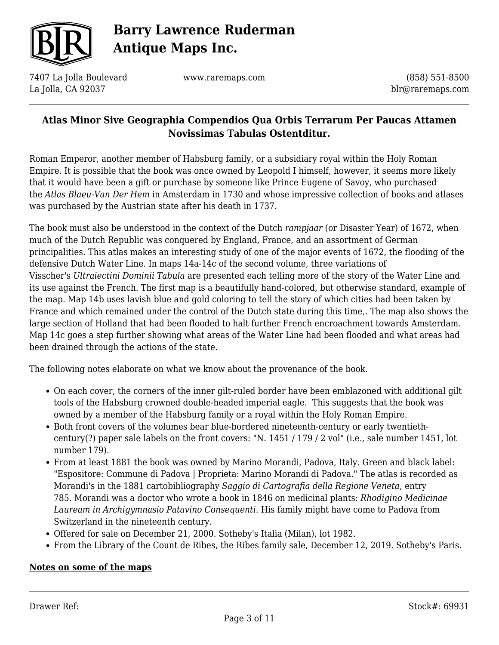

7407 La Jolla Boulevard La Jolla, CA 92037

www.raremaps.com

(858) 551-8500 blr@raremaps.com

## **Atlas Minor Sive Geographia Compendios Qua Orbis Terrarum Per Paucas Attamen Novissimas Tabulas Ostentditur.**

Roman Emperor, another member of Habsburg family, or a subsidiary royal within the Holy Roman Empire. It is possible that the book was once owned by Leopold I himself, however, it seems more likely that it would have been a gift or purchase by someone like Prince Eugene of Savoy, who purchased the *Atlas Blaeu-Van Der Hem* in Amsterdam in 1730 and whose impressive collection of books and atlases was purchased by the Austrian state after his death in 1737.

The book must also be understood in the context of the Dutch *rampjaar* (or Disaster Year) of 1672, when much of the Dutch Republic was conquered by England, France, and an assortment of German principalities. This atlas makes an interesting study of one of the major events of 1672, the flooding of the defensive Dutch Water Line. In maps 14a-14c of the second volume, three variations of Visscher's *Ultraiectini Dominii Tabula* are presented each telling more of the story of the Water Line and its use against the French. The first map is a beautifully hand-colored, but otherwise standard, example of the map. Map 14b uses lavish blue and gold coloring to tell the story of which cities had been taken by France and which remained under the control of the Dutch state during this time,. The map also shows the large section of Holland that had been flooded to halt further French encroachment towards Amsterdam. Map 14c goes a step further showing what areas of the Water Line had been flooded and what areas had been drained through the actions of the state.

The following notes elaborate on what we know about the provenance of the book.

- On each cover, the corners of the inner gilt-ruled border have been emblazoned with additional gilt tools of the Habsburg crowned double-headed imperial eagle. This suggests that the book was owned by a member of the Habsburg family or a royal within the Holy Roman Empire.
- Both front covers of the volumes bear blue-bordered nineteenth-century or early twentiethcentury(?) paper sale labels on the front covers: "N. 1451 / 179 / 2 vol" (i.e., sale number 1451, lot number 179).
- From at least 1881 the book was owned by Marino Morandi, Padova, Italy. Green and black label: "Espositore: Commune di Padova | Proprieta: Marino Morandi di Padova." The atlas is recorded as Morandi's in the 1881 cartobibliography *Saggio di Cartografia della Regione Veneta*, entry 785. Morandi was a doctor who wrote a book in 1846 on medicinal plants: *Rhodigino Medicinae Lauream in Archigymnasio Patavino Consequenti.* His family might have come to Padova from Switzerland in the nineteenth century.
- Offered for sale on December 21, 2000. Sotheby's Italia (Milan), lot 1982.
- From the Library of the Count de Ribes, the Ribes family sale, December 12, 2019. Sotheby's Paris.

#### **Notes on some of the maps**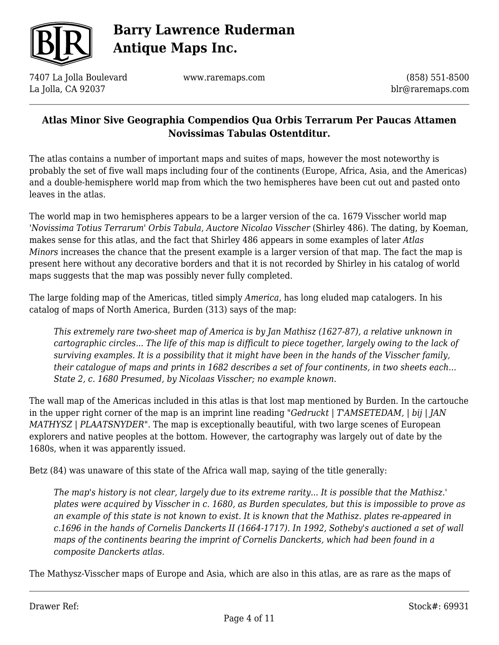

7407 La Jolla Boulevard La Jolla, CA 92037

www.raremaps.com

(858) 551-8500 blr@raremaps.com

### **Atlas Minor Sive Geographia Compendios Qua Orbis Terrarum Per Paucas Attamen Novissimas Tabulas Ostentditur.**

The atlas contains a number of important maps and suites of maps, however the most noteworthy is probably the set of five wall maps including four of the continents (Europe, Africa, Asia, and the Americas) and a double-hemisphere world map from which the two hemispheres have been cut out and pasted onto leaves in the atlas.

The world map in two hemispheres appears to be a larger version of the ca. 1679 Visscher world map *'Novissima Totius Terrarum' Orbis Tabula, Auctore Nicolao Visscher* (Shirley 486). The dating, by Koeman, makes sense for this atlas, and the fact that Shirley 486 appears in some examples of later *Atlas Minors* increases the chance that the present example is a larger version of that map. The fact the map is present here without any decorative borders and that it is not recorded by Shirley in his catalog of world maps suggests that the map was possibly never fully completed.

The large folding map of the Americas, titled simply *America*, has long eluded map catalogers. In his catalog of maps of North America, Burden (313) says of the map:

*This extremely rare two-sheet map of America is by Jan Mathisz (1627-87), a relative unknown in cartographic circles... The life of this map is difficult to piece together, largely owing to the lack of surviving examples. It is a possibility that it might have been in the hands of the Visscher family, their catalogue of maps and prints in 1682 describes a set of four continents, in two sheets each... State 2, c. 1680 Presumed, by Nicolaas Visscher; no example known.*

The wall map of the Americas included in this atlas is that lost map mentioned by Burden. In the cartouche in the upper right corner of the map is an imprint line reading "*Gedruckt | T'AMSETEDAM, | bij | JAN MATHYSZ | PLAATSNYDER*". The map is exceptionally beautiful, with two large scenes of European explorers and native peoples at the bottom. However, the cartography was largely out of date by the 1680s, when it was apparently issued.

Betz (84) was unaware of this state of the Africa wall map, saying of the title generally:

*The map's history is not clear, largely due to its extreme rarity... It is possible that the Mathisz.' plates were acquired by Visscher in c. 1680, as Burden speculates, but this is impossible to prove as an example of this state is not known to exist. It is known that the Mathisz. plates re-appeared in c.1696 in the hands of Cornelis Danckerts II (1664-1717). In 1992, Sotheby's auctioned a set of wall maps of the continents bearing the imprint of Cornelis Danckerts, which had been found in a composite Danckerts atlas.*

The Mathysz-Visscher maps of Europe and Asia, which are also in this atlas, are as rare as the maps of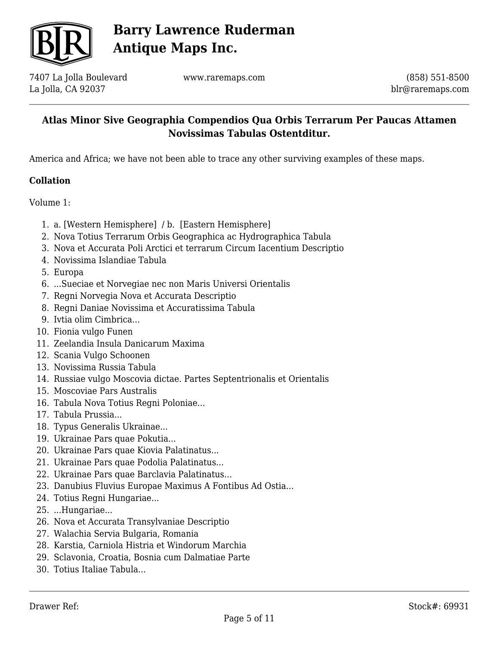

7407 La Jolla Boulevard La Jolla, CA 92037

www.raremaps.com

(858) 551-8500 blr@raremaps.com

### **Atlas Minor Sive Geographia Compendios Qua Orbis Terrarum Per Paucas Attamen Novissimas Tabulas Ostentditur.**

America and Africa; we have not been able to trace any other surviving examples of these maps.

### **Collation**

Volume 1:

- 1. a. [Western Hemisphere] / b. [Eastern Hemisphere]
- 2. Nova Totius Terrarum Orbis Geographica ac Hydrographica Tabula
- 3. Nova et Accurata Poli Arctici et terrarum Circum Iacentium Descriptio
- 4. Novissima Islandiae Tabula
- 5. Europa
- 6. ...Sueciae et Norvegiae nec non Maris Universi Orientalis
- 7. Regni Norvegia Nova et Accurata Descriptio
- 8. Regni Daniae Novissima et Accuratissima Tabula
- 9. Ivtia olim Cimbrica...
- 10. Fionia vulgo Funen
- 11. Zeelandia Insula Danicarum Maxima
- 12. Scania Vulgo Schoonen
- 13. Novissima Russia Tabula
- 14. Russiae vulgo Moscovia dictae. Partes Septentrionalis et Orientalis
- 15. Moscoviae Pars Australis
- 16. Tabula Nova Totius Regni Poloniae...
- 17. Tabula Prussia...
- 18. Typus Generalis Ukrainae...
- 19. Ukrainae Pars quae Pokutia...
- 20. Ukrainae Pars quae Kiovia Palatinatus...
- 21. Ukrainae Pars quae Podolia Palatinatus...
- 22. Ukrainae Pars quae Barclavia Palatinatus...
- 23. Danubius Fluvius Europae Maximus A Fontibus Ad Ostia...
- 24. Totius Regni Hungariae...
- 25. ...Hungariae...
- 26. Nova et Accurata Transylvaniae Descriptio
- 27. Walachia Servia Bulgaria, Romania
- 28. Karstia, Carniola Histria et Windorum Marchia
- 29. Sclavonia, Croatia, Bosnia cum Dalmatiae Parte
- 30. Totius Italiae Tabula...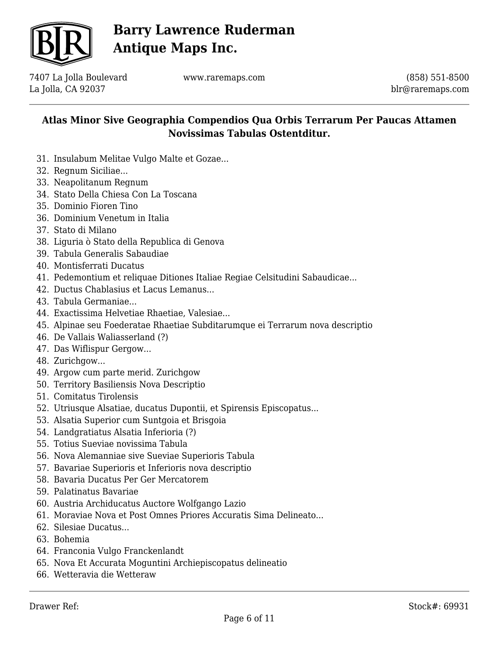

7407 La Jolla Boulevard La Jolla, CA 92037

www.raremaps.com

(858) 551-8500 blr@raremaps.com

- 31. Insulabum Melitae Vulgo Malte et Gozae...
- 32. Regnum Siciliae...
- 33. Neapolitanum Regnum
- 34. Stato Della Chiesa Con La Toscana
- 35. Dominio Fioren Tino
- 36. Dominium Venetum in Italia
- 37. Stato di Milano
- 38. Liguria ò Stato della Republica di Genova
- 39. Tabula Generalis Sabaudiae
- 40. Montisferrati Ducatus
- 41. Pedemontium et reliquae Ditiones Italiae Regiae Celsitudini Sabaudicae...
- 42. Ductus Chablasius et Lacus Lemanus...
- 43. Tabula Germaniae...
- 44. Exactissima Helvetiae Rhaetiae, Valesiae...
- 45. Alpinae seu Foederatae Rhaetiae Subditarumque ei Terrarum nova descriptio
- 46. De Vallais Waliasserland (?)
- 47. Das Wiflispur Gergow...
- 48. Zurichgow...
- 49. Argow cum parte merid. Zurichgow
- 50. Territory Basiliensis Nova Descriptio
- 51. Comitatus Tirolensis
- 52. Utriusque Alsatiae, ducatus Dupontii, et Spirensis Episcopatus...
- 53. Alsatia Superior cum Suntgoia et Brisgoia
- 54. Landgratiatus Alsatia Inferioria (?)
- 55. Totius Sueviae novissima Tabula
- 56. Nova Alemanniae sive Sueviae Superioris Tabula
- 57. Bavariae Superioris et Inferioris nova descriptio
- 58. Bavaria Ducatus Per Ger Mercatorem
- 59. Palatinatus Bavariae
- 60. Austria Archiducatus Auctore Wolfgango Lazio
- 61. Moraviae Nova et Post Omnes Priores Accuratis Sima Delineato...
- 62. Silesiae Ducatus...
- 63. Bohemia
- 64. Franconia Vulgo Franckenlandt
- 65. Nova Et Accurata Moguntini Archiepiscopatus delineatio
- 66. Wetteravia die Wetteraw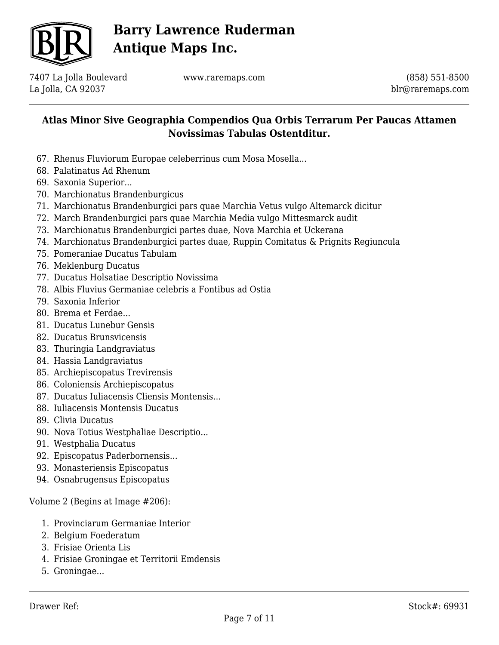

7407 La Jolla Boulevard La Jolla, CA 92037

www.raremaps.com

(858) 551-8500 blr@raremaps.com

### **Atlas Minor Sive Geographia Compendios Qua Orbis Terrarum Per Paucas Attamen Novissimas Tabulas Ostentditur.**

- 67. Rhenus Fluviorum Europae celeberrinus cum Mosa Mosella...
- 68. Palatinatus Ad Rhenum
- 69. Saxonia Superior...
- 70. Marchionatus Brandenburgicus
- 71. Marchionatus Brandenburgici pars quae Marchia Vetus vulgo Altemarck dicitur
- 72. March Brandenburgici pars quae Marchia Media vulgo Mittesmarck audit
- 73. Marchionatus Brandenburgici partes duae, Nova Marchia et Uckerana
- 74. Marchionatus Brandenburgici partes duae, Ruppin Comitatus & Prignits Regiuncula
- 75. Pomeraniae Ducatus Tabulam
- 76. Meklenburg Ducatus
- 77. Ducatus Holsatiae Descriptio Novissima
- 78. Albis Fluvius Germaniae celebris a Fontibus ad Ostia
- 79. Saxonia Inferior
- 80. Brema et Ferdae...
- 81. Ducatus Lunebur Gensis
- 82. Ducatus Brunsvicensis
- 83. Thuringia Landgraviatus
- 84. Hassia Landgraviatus
- 85. Archiepiscopatus Trevirensis
- 86. Coloniensis Archiepiscopatus
- 87. Ducatus Iuliacensis Cliensis Montensis...
- 88. Iuliacensis Montensis Ducatus
- 89. Clivia Ducatus
- 90. Nova Totius Westphaliae Descriptio...
- 91. Westphalia Ducatus
- 92. Episcopatus Paderbornensis...
- 93. Monasteriensis Episcopatus
- 94. Osnabrugensus Episcopatus

Volume 2 (Begins at Image #206):

- 1. Provinciarum Germaniae Interior
- 2. Belgium Foederatum
- 3. Frisiae Orienta Lis
- 4. Frisiae Groningae et Territorii Emdensis
- 5. Groningae...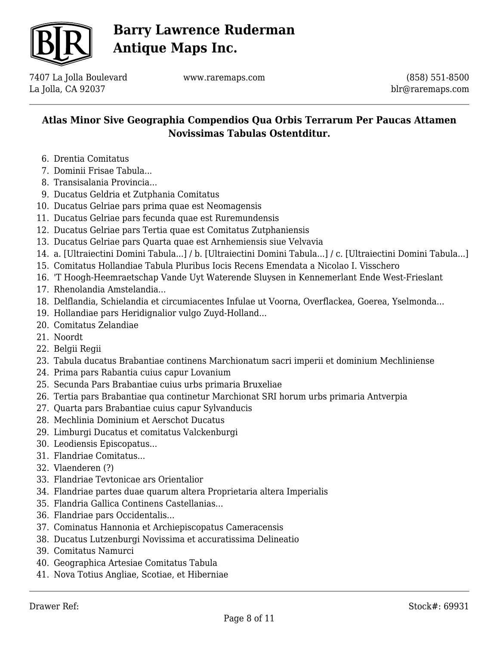

7407 La Jolla Boulevard La Jolla, CA 92037

www.raremaps.com

(858) 551-8500 blr@raremaps.com

- 6. Drentia Comitatus
- 7. Dominii Frisae Tabula...
- 8. Transisalania Provincia...
- 9. Ducatus Geldria et Zutphania Comitatus
- 10. Ducatus Gelriae pars prima quae est Neomagensis
- 11. Ducatus Gelriae pars fecunda quae est Ruremundensis
- 12. Ducatus Gelriae pars Tertia quae est Comitatus Zutphaniensis
- 13. Ducatus Gelriae pars Quarta quae est Arnhemiensis siue Velvavia
- 14. a. [Ultraiectini Domini Tabula...] / b. [Ultraiectini Domini Tabula...] / c. [Ultraiectini Domini Tabula...]
- 15. Comitatus Hollandiae Tabula Pluribus Iocis Recens Emendata a Nicolao I. Visschero
- 16. 'T Hoogh-Heemraetschap Vande Uyt Waterende Sluysen in Kennemerlant Ende West-Frieslant
- 17. Rhenolandia Amstelandia...
- 18. Delflandia, Schielandia et circumiacentes Infulae ut Voorna, Overflackea, Goerea, Yselmonda...
- 19. Hollandiae pars Heridignalior vulgo Zuyd-Holland...
- 20. Comitatus Zelandiae
- 21. Noordt
- 22. Belgii Regii
- 23. Tabula ducatus Brabantiae continens Marchionatum sacri imperii et dominium Mechliniense
- 24. Prima pars Rabantia cuius capur Lovanium
- 25. Secunda Pars Brabantiae cuius urbs primaria Bruxeliae
- 26. Tertia pars Brabantiae qua continetur Marchionat SRI horum urbs primaria Antverpia
- 27. Quarta pars Brabantiae cuius capur Sylvanducis
- 28. Mechlinia Dominium et Aerschot Ducatus
- 29. Limburgi Ducatus et comitatus Valckenburgi
- 30. Leodiensis Episcopatus...
- 31. Flandriae Comitatus...
- 32. Vlaenderen (?)
- 33. Flandriae Tevtonicae ars Orientalior
- 34. Flandriae partes duae quarum altera Proprietaria altera Imperialis
- 35. Flandria Gallica Continens Castellanias...
- 36. Flandriae pars Occidentalis...
- 37. Cominatus Hannonia et Archiepiscopatus Cameracensis
- 38. Ducatus Lutzenburgi Novissima et accuratissima Delineatio
- 39. Comitatus Namurci
- 40. Geographica Artesiae Comitatus Tabula
- 41. Nova Totius Angliae, Scotiae, et Hiberniae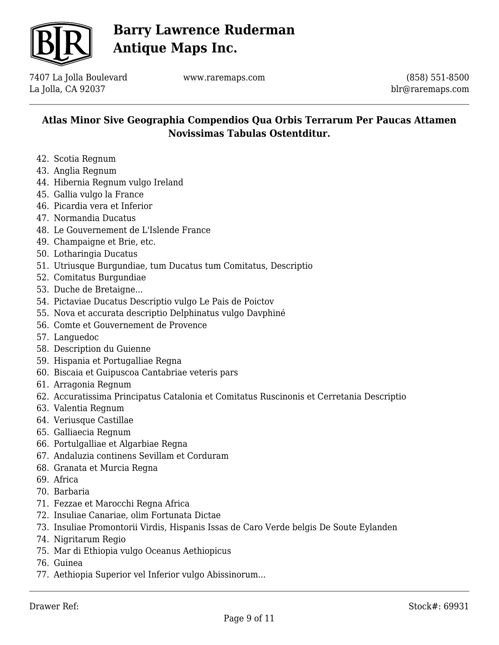

7407 La Jolla Boulevard La Jolla, CA 92037

www.raremaps.com

(858) 551-8500 blr@raremaps.com

- 42. Scotia Regnum
- 43. Anglia Regnum
- 44. Hibernia Regnum vulgo Ireland
- 45. Gallia vulgo la France
- 46. Picardia vera et Inferior
- 47. Normandia Ducatus
- 48. Le Gouvernement de L'Islende France
- 49. Champaigne et Brie, etc.
- 50. Lotharingia Ducatus
- 51. Utriusque Burgundiae, tum Ducatus tum Comitatus, Descriptio
- 52. Comitatus Burgundiae
- 53. Duche de Bretaigne...
- 54. Pictaviae Ducatus Descriptio vulgo Le Pais de Poictov
- 55. Nova et accurata descriptio Delphinatus vulgo Davphiné
- 56. Comte et Gouvernement de Provence
- 57. Languedoc
- 58. Description du Guienne
- 59. Hispania et Portugalliae Regna
- 60. Biscaia et Guipuscoa Cantabriae veteris pars
- 61. Arragonia Regnum
- 62. Accuratissima Principatus Catalonia et Comitatus Ruscinonis et Cerretania Descriptio
- 63. Valentia Regnum
- 64. Veriusque Castillae
- 65. Galliaecia Regnum
- 66. Portulgalliae et Algarbiae Regna
- 67. Andaluzia continens Sevillam et Corduram
- 68. Granata et Murcia Regna
- 69. Africa
- 70. Barbaria
- 71. Fezzae et Marocchi Regna Africa
- 72. Insuliae Canariae, olim Fortunata Dictae
- 73. Insuliae Promontorii Virdis, Hispanis Issas de Caro Verde belgis De Soute Eylanden
- 74. Nigritarum Regio
- 75. Mar di Ethiopia vulgo Oceanus Aethiopicus
- 76. Guinea
- 77. Aethiopia Superior vel Inferior vulgo Abissinorum...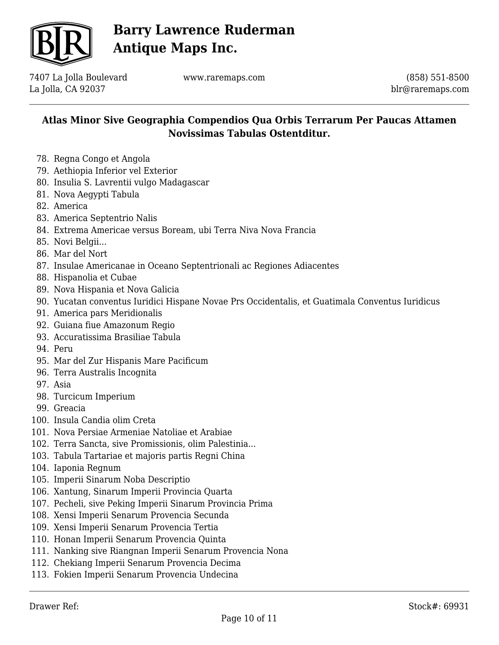

7407 La Jolla Boulevard La Jolla, CA 92037

www.raremaps.com

(858) 551-8500 blr@raremaps.com

- 78. Regna Congo et Angola
- 79. Aethiopia Inferior vel Exterior
- 80. Insulia S. Lavrentii vulgo Madagascar
- 81. Nova Aegypti Tabula
- 82. America
- 83. America Septentrio Nalis
- 84. Extrema Americae versus Boream, ubi Terra Niva Nova Francia
- 85. Novi Belgii...
- 86. Mar del Nort
- 87. Insulae Americanae in Oceano Septentrionali ac Regiones Adiacentes
- 88. Hispanolia et Cubae
- 89. Nova Hispania et Nova Galicia
- 90. Yucatan conventus Iuridici Hispane Novae Prs Occidentalis, et Guatimala Conventus Iuridicus
- 91. America pars Meridionalis
- 92. Guiana fiue Amazonum Regio
- 93. Accuratissima Brasiliae Tabula
- 94. Peru
- 95. Mar del Zur Hispanis Mare Pacificum
- 96. Terra Australis Incognita
- 97. Asia
- 98. Turcicum Imperium
- 99. Greacia
- 100. Insula Candia olim Creta
- 101. Nova Persiae Armeniae Natoliae et Arabiae
- 102. Terra Sancta, sive Promissionis, olim Palestinia...
- 103. Tabula Tartariae et majoris partis Regni China
- 104. Iaponia Regnum
- 105. Imperii Sinarum Noba Descriptio
- 106. Xantung, Sinarum Imperii Provincia Quarta
- 107. Pecheli, sive Peking Imperii Sinarum Provincia Prima
- 108. Xensi Imperii Senarum Provencia Secunda
- 109. Xensi Imperii Senarum Provencia Tertia
- 110. Honan Imperii Senarum Provencia Quinta
- 111. Nanking sive Riangnan Imperii Senarum Provencia Nona
- 112. Chekiang Imperii Senarum Provencia Decima
- 113. Fokien Imperii Senarum Provencia Undecina